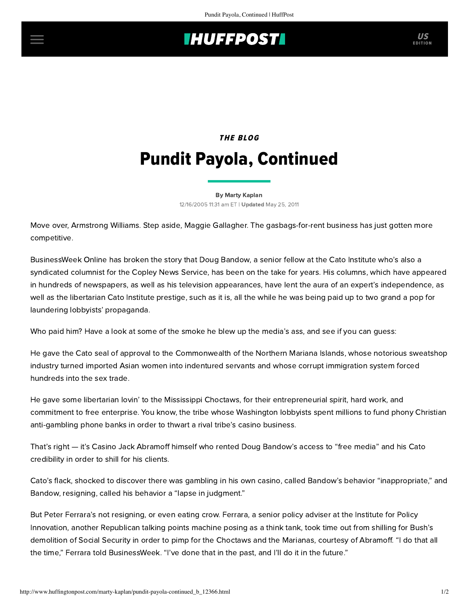## **IHUFFPOSTI**

## THE BLOG Pundit Payola, Continued

[By Marty Kaplan](http://www.huffingtonpost.com/author/marty-kaplan) 12/16/2005 11:31 am ET | Updated May 25, 2011

Move over, Armstrong Williams. Step aside, Maggie Gallagher. The gasbags-for-rent business has just gotten more competitive.

[BusinessWeek Online](http://www.businessweek.com/bwdaily/dnflash/dec2005/nf20051216_1037_db016.htm) has broken the story that Doug Bandow, a senior fellow at the Cato Institute who's also a syndicated columnist for the Copley News Service, has been on the take for years. His columns, which have appeared in hundreds of newspapers, as well as his television appearances, have lent the aura of an expert's independence, as well as the libertarian Cato Institute prestige, such as it is, all the while he was being paid up to two grand a pop for laundering lobbyists' propaganda.

Who paid him? Have a look at some of the smoke he blew up the media's ass, and see if you can guess:

He gave the Cato seal of approval to the Commonwealth of the Northern Mariana Islands, whose notorious sweatshop industry turned imported Asian women into indentured servants and whose corrupt immigration system forced hundreds into the sex trade.

He gave some libertarian lovin' to the Mississippi Choctaws, for their entrepreneurial spirit, hard work, and commitment to free enterprise. You know, the tribe whose Washington lobbyists spent millions to fund phony Christian anti-gambling phone banks in order to thwart a rival tribe's casino business.

That's right — it's Casino Jack Abramoff himself who rented Doug Bandow's access to "free media" and his Cato credibility in order to shill for his clients.

Cato's flack, shocked to discover there was gambling in his own casino, called Bandow's behavior "inappropriate," and Bandow, resigning, called his behavior a "lapse in judgment."

But Peter Ferrara's not resigning, or even eating crow. Ferrara, a senior policy adviser at the Institute for Policy Innovation, another Republican talking points machine posing as a think tank, took time out from shilling for Bush's demolition of Social Security in order to pimp for the Choctaws and the Marianas, courtesy of Abramoff. "I do that all the time," Ferrara told BusinessWeek. "I've done that in the past, and I'll do it in the future."